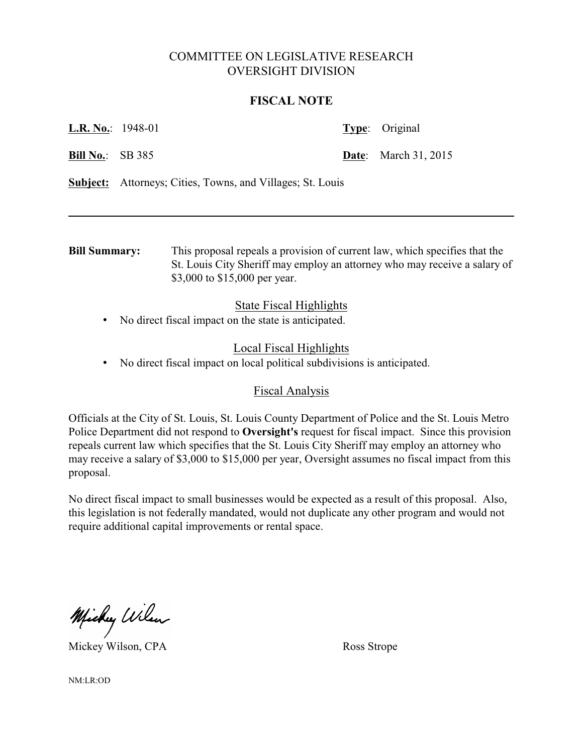# COMMITTEE ON LEGISLATIVE RESEARCH OVERSIGHT DIVISION

## **FISCAL NOTE**

| <b>L.R. No.:</b> 1948-01 |  | <b>Type:</b> Original       |
|--------------------------|--|-----------------------------|
| <b>Bill No.:</b> SB 385  |  | <b>Date:</b> March 31, 2015 |

**Subject:** Attorneys; Cities, Towns, and Villages; St. Louis

**Bill Summary:** This proposal repeals a provision of current law, which specifies that the St. Louis City Sheriff may employ an attorney who may receive a salary of \$3,000 to \$15,000 per year.

## State Fiscal Highlights

• No direct fiscal impact on the state is anticipated.

## Local Fiscal Highlights

• No direct fiscal impact on local political subdivisions is anticipated.

### Fiscal Analysis

Officials at the City of St. Louis, St. Louis County Department of Police and the St. Louis Metro Police Department did not respond to **Oversight's** request for fiscal impact. Since this provision repeals current law which specifies that the St. Louis City Sheriff may employ an attorney who may receive a salary of \$3,000 to \$15,000 per year, Oversight assumes no fiscal impact from this proposal.

No direct fiscal impact to small businesses would be expected as a result of this proposal. Also, this legislation is not federally mandated, would not duplicate any other program and would not require additional capital improvements or rental space.

Michy Wilson

Mickey Wilson, CPA Ross Strope

NM:LR:OD